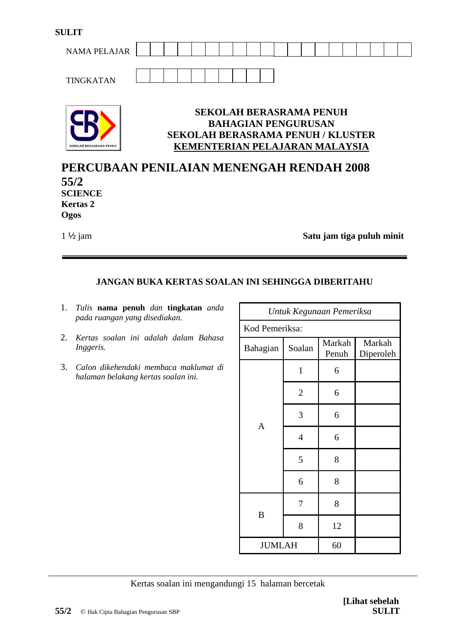| <b>SULIT</b>        |  |  |  |  |  |  |  |  |  |  |
|---------------------|--|--|--|--|--|--|--|--|--|--|
| <b>NAMA PELAJAR</b> |  |  |  |  |  |  |  |  |  |  |
|                     |  |  |  |  |  |  |  |  |  |  |
| <b>TINGKATAN</b>    |  |  |  |  |  |  |  |  |  |  |



## **SEKOLAH BERASRAMA PENUH BAHAGIAN PENGURUSAN SEKOLAH BERASRAMA PENUH / KLUSTER KEMENTERIAN PELAJARAN MALAYSIA**

# **PERCUBAAN PENILAIAN MENENGAH RENDAH 2008 55/2 SCIENCE Kertas 2 Ogos**

1 ½ jam **Satu jam tiga puluh minit**

# **JANGAN BUKA KERTAS SOALAN INI SEHINGGA DIBERITAHU**

- 1. *Tulis* **nama penuh** *dan* **tingkatan** *anda pada ruangan yang disediakan.*
- 2. *Kertas soalan ini adalah dalam Bahasa Inggeris.*
- 3. *Calon dikehendaki membaca maklumat di halaman belakang kertas soalan ini.*

| Untuk Kegunaan Pemeriksa |                |                 |                     |  |  |  |  |  |
|--------------------------|----------------|-----------------|---------------------|--|--|--|--|--|
| Kod Pemeriksa:           |                |                 |                     |  |  |  |  |  |
| Bahagian                 | Soalan         | Markah<br>Penuh | Markah<br>Diperoleh |  |  |  |  |  |
|                          | $\mathbf{1}$   | 6               |                     |  |  |  |  |  |
|                          | $\overline{2}$ | 6               |                     |  |  |  |  |  |
| A                        | 3              | 6               |                     |  |  |  |  |  |
|                          | $\overline{4}$ | 6               |                     |  |  |  |  |  |
|                          | 5              | 8               |                     |  |  |  |  |  |
|                          | 6              | 8               |                     |  |  |  |  |  |
| B                        | 7              | 8               |                     |  |  |  |  |  |
|                          | 8              | 12              |                     |  |  |  |  |  |
| <b>JUMLAH</b>            |                | 60              |                     |  |  |  |  |  |

#### Kertas soalan ini mengandungi 15 halaman bercetak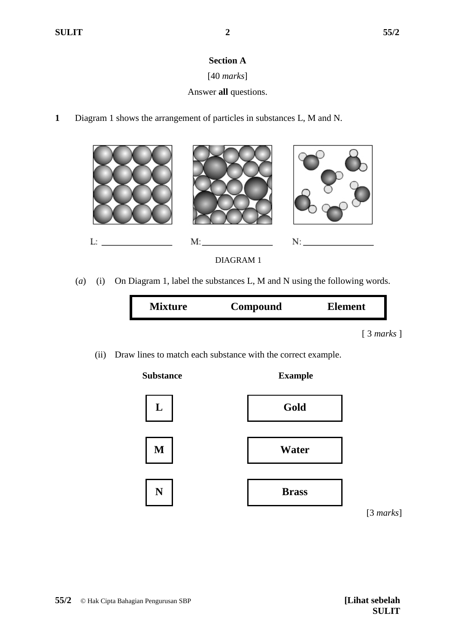## **Section A**

# [40 *marks*]

# Answer **all** questions.

**1** Diagram 1 shows the arrangement of particles in substances L, M and N.



(*a*) (i) On Diagram 1, label the substances L, M and N using the following words.

| <b>Mixture</b> | Compound | <b>Element</b> |
|----------------|----------|----------------|
|                |          | [3 marks]      |

(ii) Draw lines to match each substance with the correct example.



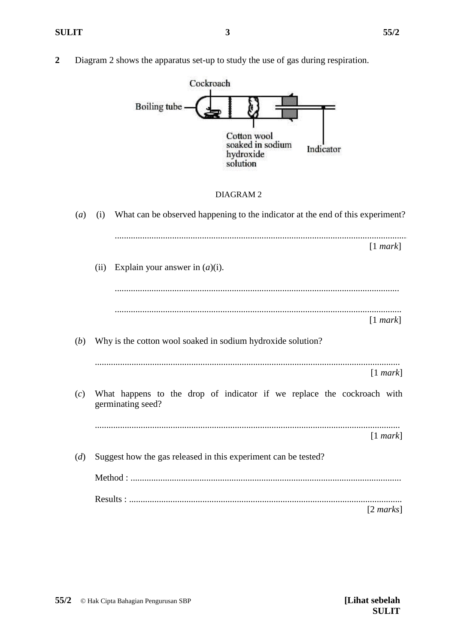**2** Diagram 2 shows the apparatus set-up to study the use of gas during respiration.

![](_page_2_Figure_4.jpeg)

#### DIAGRAM 2

| $\left(a\right)$ | (i)  | What can be observed happening to the indicator at the end of this experiment?              |  |
|------------------|------|---------------------------------------------------------------------------------------------|--|
|                  |      | [1 mark]                                                                                    |  |
|                  | (ii) | Explain your answer in $(a)(i)$ .                                                           |  |
|                  |      |                                                                                             |  |
|                  |      | [1 mark]                                                                                    |  |
| (b)              |      | Why is the cotton wool soaked in sodium hydroxide solution?                                 |  |
|                  |      | [1 mark]                                                                                    |  |
| (c)              |      | What happens to the drop of indicator if we replace the cockroach with<br>germinating seed? |  |
|                  |      | [1 mark]                                                                                    |  |
| (d)              |      | Suggest how the gas released in this experiment can be tested?                              |  |
|                  |      |                                                                                             |  |
|                  |      | $[2 \text{ marks}]$                                                                         |  |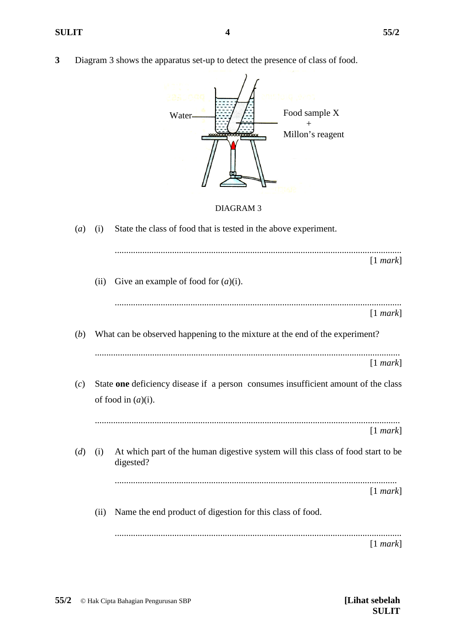- 
- **3** Diagram 3 shows the apparatus set-up to detect the presence of class of food.

![](_page_3_Picture_4.jpeg)

#### DIAGRAM 3

| $\left(a\right)$ | (i)  | State the class of food that is tested in the above experiment.                                             |
|------------------|------|-------------------------------------------------------------------------------------------------------------|
|                  |      | [1 mark]                                                                                                    |
|                  | (ii) | Give an example of food for $(a)(i)$ .                                                                      |
|                  |      | [1 mark]                                                                                                    |
| (b)              |      | What can be observed happening to the mixture at the end of the experiment?                                 |
|                  |      | [1 mark]                                                                                                    |
| (c)              |      | State one deficiency disease if a person consumes insufficient amount of the class<br>of food in $(a)(i)$ . |
|                  |      | [1 mark]                                                                                                    |
| (d)              | (i)  | At which part of the human digestive system will this class of food start to be<br>digested?                |
|                  |      | [1 mark]                                                                                                    |
|                  | (ii) | Name the end product of digestion for this class of food.                                                   |
|                  |      | [1 mark]                                                                                                    |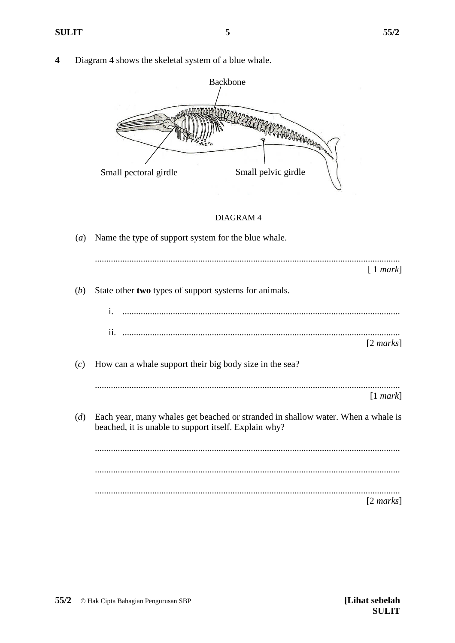**4** Diagram 4 shows the skeletal system of a blue whale.

![](_page_4_Figure_4.jpeg)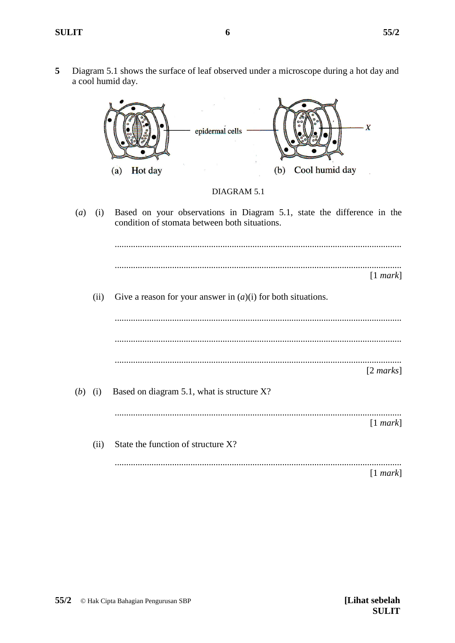5 Diagram 5.1 shows the surface of leaf observed under a microscope during a hot day and a cool humid day.

![](_page_5_Figure_3.jpeg)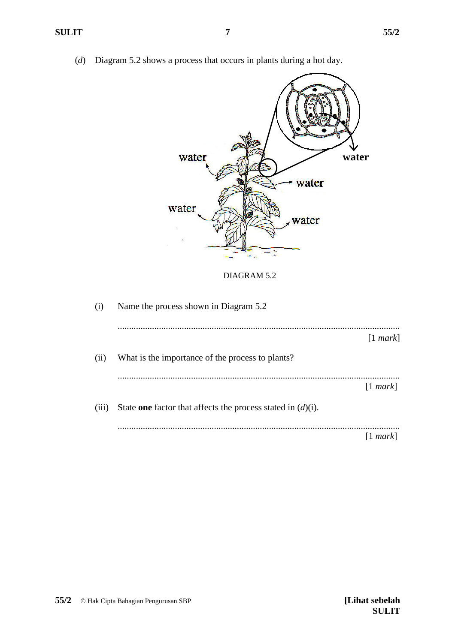(*d*) Diagram 5.2 shows a process that occurs in plants during a hot day.

![](_page_6_Picture_3.jpeg)

[1 *mark*]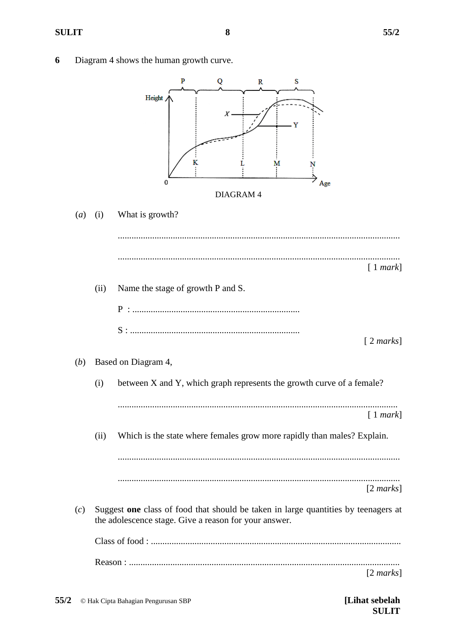6 Diagram 4 shows the human growth curve.

![](_page_7_Figure_4.jpeg)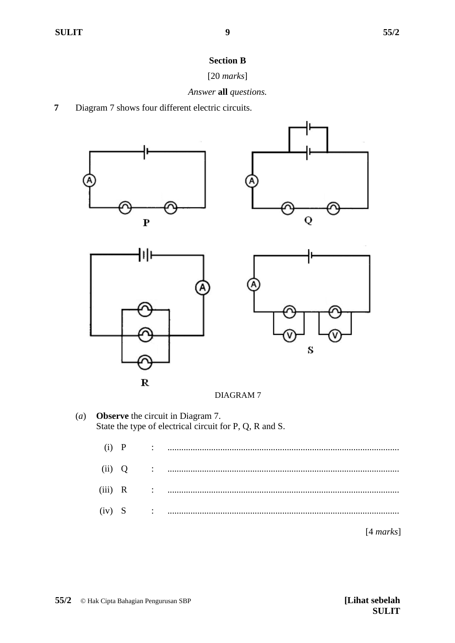## **Section B**

## [20 *marks*]

### *Answer* **all** *questions.*

**7** Diagram 7 shows four different electric circuits.

![](_page_8_Figure_7.jpeg)

(*a*) **Observe** the circuit in Diagram 7. State the type of electrical circuit for P, Q, R and S.

| $(i)$ $P$ |  | $\mathcal{L} = \{1, 2, \ldots, 2, \ldots, 2, \ldots, 2, \ldots, 2, \ldots, 2, \ldots, 2, \ldots, 2, \ldots, 2, \ldots, 2, \ldots, 2, \ldots, 2, \ldots, 2, \ldots, 2, \ldots, 2, \ldots, 2, \ldots, 2, \ldots, 2, \ldots, 2, \ldots, 2, \ldots, 2, \ldots, 2, \ldots, 2, \ldots, 2, \ldots, 2, \ldots, 2, \ldots, 2, \ldots, 2, \ldots, 2, \ldots, 2, \ldots$ |
|-----------|--|---------------------------------------------------------------------------------------------------------------------------------------------------------------------------------------------------------------------------------------------------------------------------------------------------------------------------------------------------------------|
| (ii) Q    |  |                                                                                                                                                                                                                                                                                                                                                               |
| $(iii)$ R |  |                                                                                                                                                                                                                                                                                                                                                               |
|           |  |                                                                                                                                                                                                                                                                                                                                                               |
|           |  | [4 marks]                                                                                                                                                                                                                                                                                                                                                     |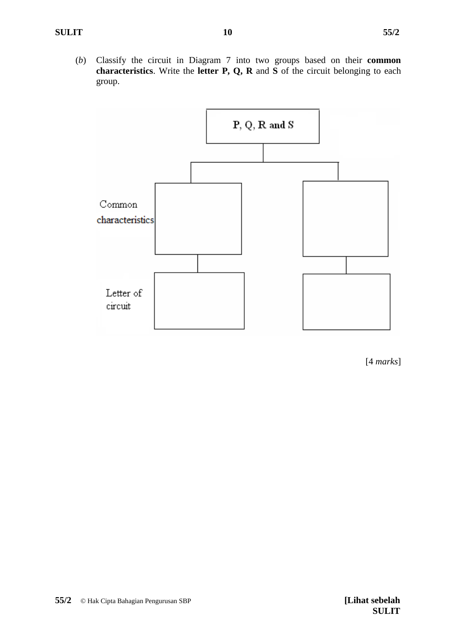(*b*) Classify the circuit in Diagram 7 into two groups based on their **common characteristics**. Write the **letter P, Q, R** and **S** of the circuit belonging to each group.

![](_page_9_Figure_3.jpeg)

[4 *marks*]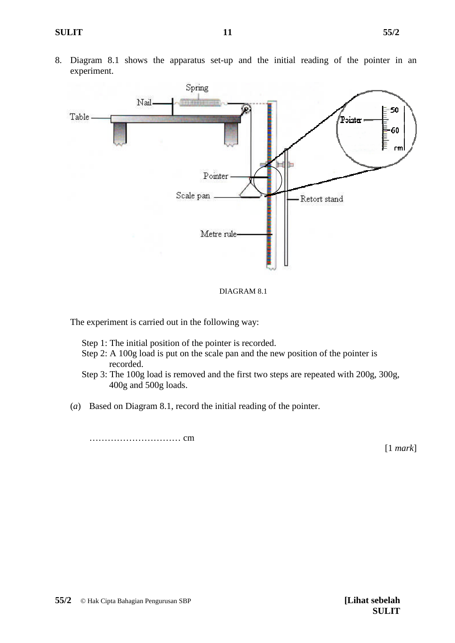8. Diagram 8.1 shows the apparatus set-up and the initial reading of the pointer in an experiment.

![](_page_10_Figure_3.jpeg)

![](_page_10_Figure_4.jpeg)

The experiment is carried out in the following way:

Step 1: The initial position of the pointer is recorded.

- Step 2: A 100g load is put on the scale pan and the new position of the pointer is recorded.
- Step 3: The 100g load is removed and the first two steps are repeated with 200g, 300g, 400g and 500g loads.
- (*a*) Based on Diagram 8.1, record the initial reading of the pointer.

………………………… cm

[1 *mark*]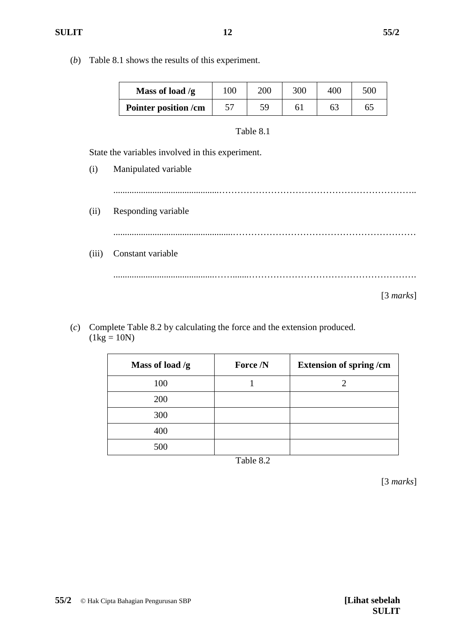(*b*) Table 8.1 shows the results of this experiment.

| Mass of load $/g$    | 100 | 200 | 300 | 400 | 500 |
|----------------------|-----|-----|-----|-----|-----|
| Pointer position /cm |     | 59  |     |     |     |

|       | Table 8.1                                        |  |  |  |  |  |  |  |  |  |
|-------|--------------------------------------------------|--|--|--|--|--|--|--|--|--|
|       | State the variables involved in this experiment. |  |  |  |  |  |  |  |  |  |
| (i)   | Manipulated variable                             |  |  |  |  |  |  |  |  |  |
|       |                                                  |  |  |  |  |  |  |  |  |  |
| (ii)  | Responding variable                              |  |  |  |  |  |  |  |  |  |
|       |                                                  |  |  |  |  |  |  |  |  |  |
| (iii) | Constant variable                                |  |  |  |  |  |  |  |  |  |
|       |                                                  |  |  |  |  |  |  |  |  |  |
|       | [3 marks]                                        |  |  |  |  |  |  |  |  |  |

(*c*) Complete Table 8.2 by calculating the force and the extension produced.  $(1kg = 10N)$ 

| Mass of load $/g$ | Force /N | <b>Extension of spring/cm</b> |
|-------------------|----------|-------------------------------|
| 100               |          |                               |
| 200               |          |                               |
| 300               |          |                               |
| 400               |          |                               |
| 500               |          |                               |

Table 8.2

[3 *marks*]

**55/2** © Hak Cipta Bahagian Pengurusan SBP **[Lihat sebelah**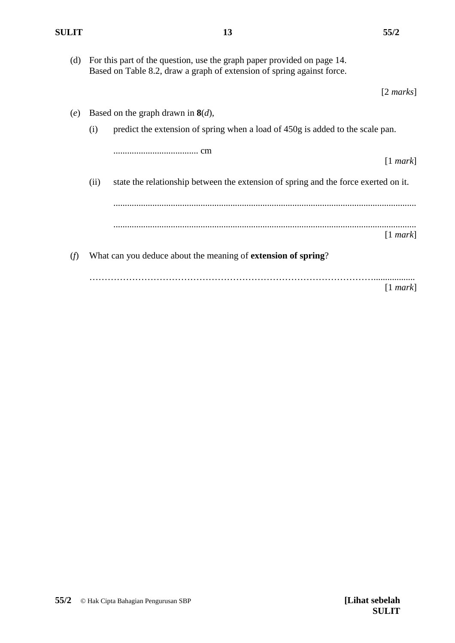[2 *marks*]

(d) For this part of the question, use the graph paper provided on page 14. Based on Table 8.2, draw a graph of extension of spring against force.

**13**

(*e*) Based on the graph drawn in **8**(*d*), (i) predict the extension of spring when a load of 450g is added to the scale pan. ..................................... cm [1 *mark*] (ii) state the relationship between the extension of spring and the force exerted on it. .................................................................................................................................... .................................................................................................................................... [1 *mark*] (*f*) What can you deduce about the meaning of **extension of spring**? ………………………………………………………………………………….................. [1 *mark*]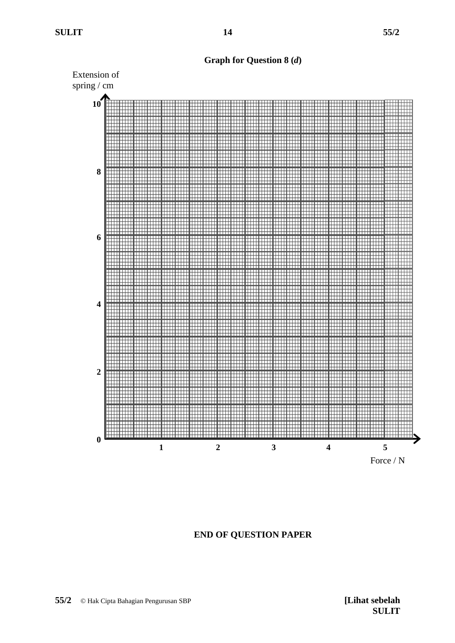**14**

**Graph for Question 8 (***d***)**

![](_page_13_Figure_4.jpeg)

**END OF QUESTION PAPER**